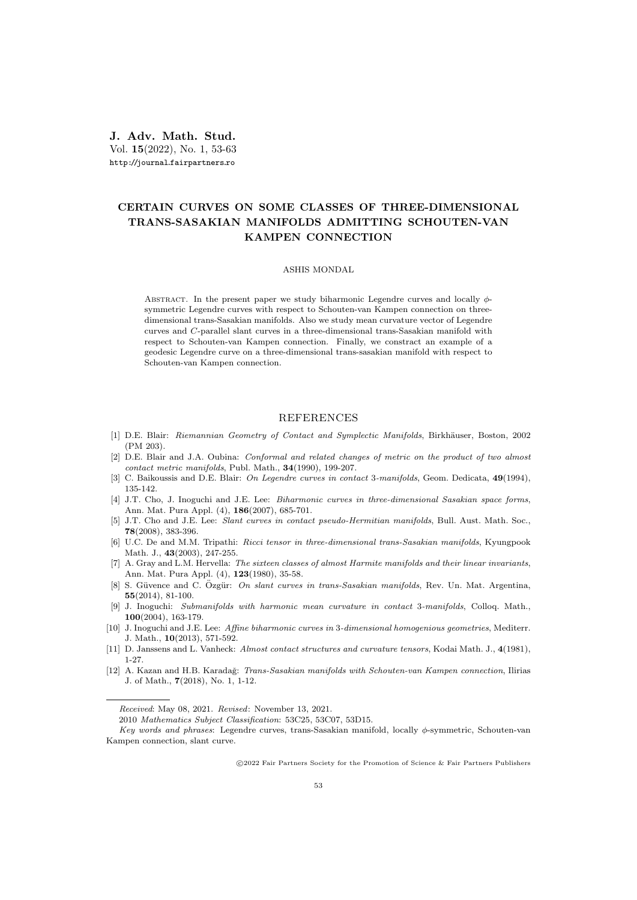J. Adv. Math. Stud. Vol. 15(2022), No. 1, 53-63 http://journal.fairpartners.ro

## CERTAIN CURVES ON SOME CLASSES OF THREE-DIMENSIONAL TRANS-SASAKIAN MANIFOLDS ADMITTING SCHOUTEN-VAN KAMPEN CONNECTION

## ASHIS MONDAL

ABSTRACT. In the present paper we study biharmonic Legendre curves and locally  $\phi$ symmetric Legendre curves with respect to Schouten-van Kampen connection on threedimensional trans-Sasakian manifolds. Also we study mean curvature vector of Legendre curves and C-parallel slant curves in a three-dimensional trans-Sasakian manifold with respect to Schouten-van Kampen connection. Finally, we constract an example of a geodesic Legendre curve on a three-dimensional trans-sasakian manifold with respect to Schouten-van Kampen connection.

## REFERENCES

- [1] D.E. Blair: Riemannian Geometry of Contact and Symplectic Manifolds, Birkhäuser, Boston, 2002 (PM 203).
- [2] D.E. Blair and J.A. Oubina: Conformal and related changes of metric on the product of two almost contact metric manifolds, Publ. Math., 34(1990), 199-207.
- [3] C. Baikoussis and D.E. Blair: On Legendre curves in contact 3-manifolds, Geom. Dedicata, 49(1994), 135-142.
- [4] J.T. Cho, J. Inoguchi and J.E. Lee: Biharmonic curves in three-dimensional Sasakian space forms, Ann. Mat. Pura Appl. (4), 186(2007), 685-701.
- [5] J.T. Cho and J.E. Lee: Slant curves in contact pseudo-Hermitian manifolds, Bull. Aust. Math. Soc., 78(2008), 383-396.
- [6] U.C. De and M.M. Tripathi: Ricci tensor in three-dimensional trans-Sasakian manifolds, Kyungpook Math. J., 43(2003), 247-255.
- [7] A. Gray and L.M. Hervella: The sixteen classes of almost Harmite manifolds and their linear invariants, Ann. Mat. Pura Appl. (4), 123(1980), 35-58.
- [8] S. Güvence and C. Özgür: On slant curves in trans-Sasakian manifolds, Rev. Un. Mat. Argentina, 55(2014), 81-100.
- [9] J. Inoguchi: Submanifolds with harmonic mean curvature in contact 3-manifolds, Colloq. Math., 100(2004), 163-179.
- [10] J. Inoguchi and J.E. Lee: Affine biharmonic curves in 3-dimensional homogenious geometries, Mediterr. J. Math., 10(2013), 571-592.
- [11] D. Janssens and L. Vanheck: Almost contact structures and curvature tensors, Kodai Math. J.,  $4(1981)$ , 1-27.
- [12] A. Kazan and H.B. Karadağ: Trans-Sasakian manifolds with Schouten-van Kampen connection, Ilirias J. of Math., 7(2018), No. 1, 1-12.

Received: May 08, 2021. Revised: November 13, 2021.

<sup>2010</sup> Mathematics Subject Classification: 53C25, 53C07, 53D15.

Key words and phrases: Legendre curves, trans-Sasakian manifold, locally  $\phi$ -symmetric, Schouten-van Kampen connection, slant curve.

c 2022 Fair Partners Society for the Promotion of Science & Fair Partners Publishers